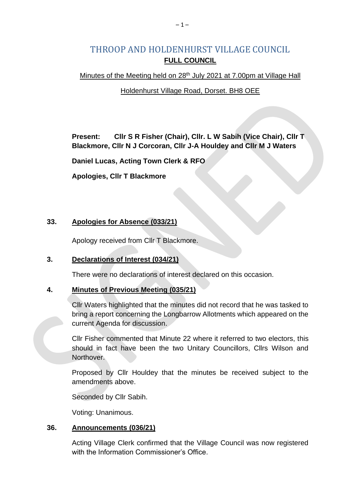# THROOP AND HOLDENHURST VILLAGE COUNCIL **FULL COUNCIL**

### Minutes of the Meeting held on 28<sup>th</sup> July 2021 at 7.00pm at Village Hall

### Holdenhurst Village Road, Dorset. BH8 OEE

**Present: Cllr S R Fisher (Chair), Cllr. L W Sabih (Vice Chair), Cllr T Blackmore, Cllr N J Corcoran, Cllr J-A Houldey and Cllr M J Waters**

**Daniel Lucas, Acting Town Clerk & RFO**

**Apologies, Cllr T Blackmore**

### **33. Apologies for Absence (033/21)**

Apology received from Cllr T Blackmore.

# **3. Declarations of Interest (034/21)**

There were no declarations of interest declared on this occasion.

# **4. Minutes of Previous Meeting (035/21)**

Cllr Waters highlighted that the minutes did not record that he was tasked to bring a report concerning the Longbarrow Allotments which appeared on the current Agenda for discussion.

Cllr Fisher commented that Minute 22 where it referred to two electors, this should in fact have been the two Unitary Councillors, Cllrs Wilson and Northover.

Proposed by Cllr Houldey that the minutes be received subject to the amendments above.

Seconded by Cllr Sabih.

Voting: Unanimous.

# **36. Announcements (036/21)**

Acting Village Clerk confirmed that the Village Council was now registered with the Information Commissioner's Office.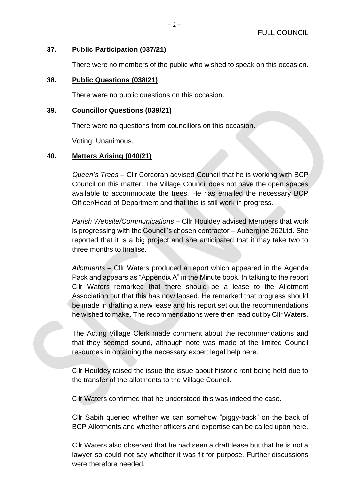#### **37. Public Participation (037/21)**

There were no members of the public who wished to speak on this occasion.

#### **38. Public Questions (038/21)**

There were no public questions on this occasion.

#### **39. Councillor Questions (039/21)**

There were no questions from councillors on this occasion.

Voting: Unanimous.

#### **40. Matters Arising (040/21)**

*Queen's Trees* – Cllr Corcoran advised Council that he is working with BCP Council on this matter. The Village Council does not have the open spaces available to accommodate the trees. He has emailed the necessary BCP Officer/Head of Department and that this is still work in progress.

*Parish Website/Communications* – Cllr Houldey advised Members that work is progressing with the Council's chosen contractor – Aubergine 262Ltd. She reported that it is a big project and she anticipated that it may take two to three months to finalise.

*Allotments –* Cllr Waters produced a report which appeared in the Agenda Pack and appears as "Appendix A" in the Minute book. In talking to the report Cllr Waters remarked that there should be a lease to the Allotment Association but that this has now lapsed. He remarked that progress should be made in drafting a new lease and his report set out the recommendations he wished to make. The recommendations were then read out by Cllr Waters.

The Acting Village Clerk made comment about the recommendations and that they seemed sound, although note was made of the limited Council resources in obtaining the necessary expert legal help here.

Cllr Houldey raised the issue the issue about historic rent being held due to the transfer of the allotments to the Village Council.

Cllr Waters confirmed that he understood this was indeed the case.

Cllr Sabih queried whether we can somehow "piggy-back" on the back of BCP Allotments and whether officers and expertise can be called upon here.

Cllr Waters also observed that he had seen a draft lease but that he is not a lawyer so could not say whether it was fit for purpose. Further discussions were therefore needed.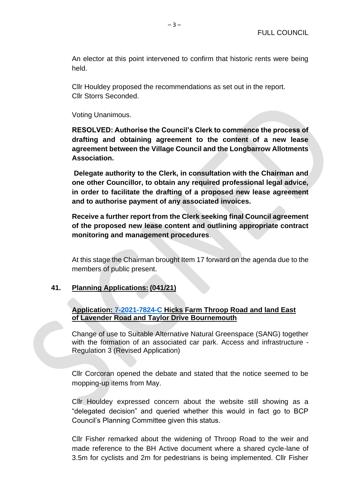An elector at this point intervened to confirm that historic rents were being held.

Cllr Houldey proposed the recommendations as set out in the report. Cllr Storrs Seconded.

Voting Unanimous.

**RESOLVED: Authorise the Council's Clerk to commence the process of drafting and obtaining agreement to the content of a new lease agreement between the Village Council and the Longbarrow Allotments Association.** 

**Delegate authority to the Clerk, in consultation with the Chairman and one other Councillor, to obtain any required professional legal advice, in order to facilitate the drafting of a proposed new lease agreement and to authorise payment of any associated invoices.** 

**Receive a further report from the Clerk seeking final Council agreement of the proposed new lease content and outlining appropriate contract monitoring and management procedures**.

At this stage the Chairman brought Item 17 forward on the agenda due to the members of public present.

### **41. Planning Applications: (041/21)**

**Application: [7-2021-7824-C](https://planning.bournemouth.gov.uk/plandisp.aspx?recno=102223) Hicks Farm Throop Road and land East of Lavender Road and Taylor Drive Bournemouth**

Change of use to Suitable Alternative Natural Greenspace (SANG) together with the formation of an associated car park. Access and infrastructure - Regulation 3 (Revised Application)

Cllr Corcoran opened the debate and stated that the notice seemed to be mopping-up items from May.

Cllr Houldey expressed concern about the website still showing as a "delegated decision" and queried whether this would in fact go to BCP Council's Planning Committee given this status.

Cllr Fisher remarked about the widening of Throop Road to the weir and made reference to the BH Active document where a shared cycle-lane of 3.5m for cyclists and 2m for pedestrians is being implemented. Cllr Fisher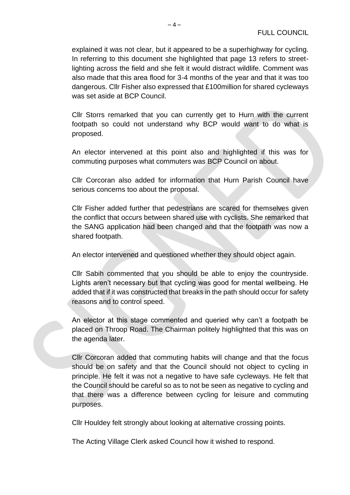explained it was not clear, but it appeared to be a superhighway for cycling. In referring to this document she highlighted that page 13 refers to streetlighting across the field and she felt it would distract wildlife. Comment was also made that this area flood for 3-4 months of the year and that it was too dangerous. Cllr Fisher also expressed that £100million for shared cycleways was set aside at BCP Council.

Cllr Storrs remarked that you can currently get to Hurn with the current footpath so could not understand why BCP would want to do what is proposed.

An elector intervened at this point also and highlighted if this was for commuting purposes what commuters was BCP Council on about.

Cllr Corcoran also added for information that Hurn Parish Council have serious concerns too about the proposal.

Cllr Fisher added further that pedestrians are scared for themselves given the conflict that occurs between shared use with cyclists. She remarked that the SANG application had been changed and that the footpath was now a shared footpath.

An elector intervened and questioned whether they should object again.

Cllr Sabih commented that you should be able to enjoy the countryside. Lights aren't necessary but that cycling was good for mental wellbeing. He added that if it was constructed that breaks in the path should occur for safety reasons and to control speed.

An elector at this stage commented and queried why can't a footpath be placed on Throop Road. The Chairman politely highlighted that this was on the agenda later.

Cllr Corcoran added that commuting habits will change and that the focus should be on safety and that the Council should not object to cycling in principle. He felt it was not a negative to have safe cycleways. He felt that the Council should be careful so as to not be seen as negative to cycling and that there was a difference between cycling for leisure and commuting purposes.

Cllr Houldey felt strongly about looking at alternative crossing points.

The Acting Village Clerk asked Council how it wished to respond.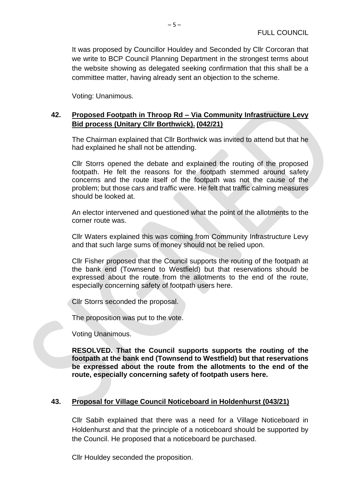It was proposed by Councillor Houldey and Seconded by Cllr Corcoran that we write to BCP Council Planning Department in the strongest terms about the website showing as delegated seeking confirmation that this shall be a committee matter, having already sent an objection to the scheme.

Voting: Unanimous.

# **42. Proposed Footpath in Throop Rd – Via Community Infrastructure Levy Bid process (Unitary Cllr Borthwick). (042/21)**

The Chairman explained that Cllr Borthwick was invited to attend but that he had explained he shall not be attending.

Cllr Storrs opened the debate and explained the routing of the proposed footpath. He felt the reasons for the footpath stemmed around safety concerns and the route itself of the footpath was not the cause of the problem; but those cars and traffic were. He felt that traffic calming measures should be looked at.

An elector intervened and questioned what the point of the allotments to the corner route was.

Cllr Waters explained this was coming from Community Infrastructure Levy and that such large sums of money should not be relied upon.

Cllr Fisher proposed that the Council supports the routing of the footpath at the bank end (Townsend to Westfield) but that reservations should be expressed about the route from the allotments to the end of the route, especially concerning safety of footpath users here.

Cllr Storrs seconded the proposal.

The proposition was put to the vote.

Voting Unanimous.

**RESOLVED. That the Council supports supports the routing of the footpath at the bank end (Townsend to Westfield) but that reservations be expressed about the route from the allotments to the end of the route, especially concerning safety of footpath users here.**

# **43. Proposal for Village Council Noticeboard in Holdenhurst (043/21)**

Cllr Sabih explained that there was a need for a Village Noticeboard in Holdenhurst and that the principle of a noticeboard should be supported by the Council. He proposed that a noticeboard be purchased.

Cllr Houldey seconded the proposition.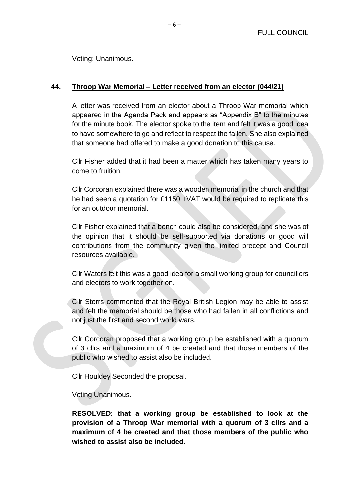Voting: Unanimous.

### **44. Throop War Memorial – Letter received from an elector (044/21)**

A letter was received from an elector about a Throop War memorial which appeared in the Agenda Pack and appears as "Appendix B" to the minutes for the minute book. The elector spoke to the item and felt it was a good idea to have somewhere to go and reflect to respect the fallen. She also explained that someone had offered to make a good donation to this cause.

Cllr Fisher added that it had been a matter which has taken many years to come to fruition.

Cllr Corcoran explained there was a wooden memorial in the church and that he had seen a quotation for £1150 +VAT would be required to replicate this for an outdoor memorial.

Cllr Fisher explained that a bench could also be considered, and she was of the opinion that it should be self-supported via donations or good will contributions from the community given the limited precept and Council resources available.

Cllr Waters felt this was a good idea for a small working group for councillors and electors to work together on.

Cllr Storrs commented that the Royal British Legion may be able to assist and felt the memorial should be those who had fallen in all conflictions and not just the first and second world wars.

Cllr Corcoran proposed that a working group be established with a quorum of 3 cllrs and a maximum of 4 be created and that those members of the public who wished to assist also be included.

Cllr Houldey Seconded the proposal.

Voting Unanimous.

**RESOLVED: that a working group be established to look at the provision of a Throop War memorial with a quorum of 3 cllrs and a maximum of 4 be created and that those members of the public who wished to assist also be included.**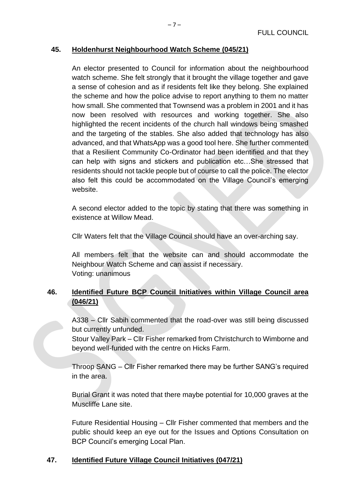### **45. Holdenhurst Neighbourhood Watch Scheme (045/21)**

An elector presented to Council for information about the neighbourhood watch scheme. She felt strongly that it brought the village together and gave a sense of cohesion and as if residents felt like they belong. She explained the scheme and how the police advise to report anything to them no matter how small. She commented that Townsend was a problem in 2001 and it has now been resolved with resources and working together. She also highlighted the recent incidents of the church hall windows being smashed and the targeting of the stables. She also added that technology has also advanced, and that WhatsApp was a good tool here. She further commented that a Resilient Community Co-Ordinator had been identified and that they can help with signs and stickers and publication etc…She stressed that residents should not tackle people but of course to call the police. The elector also felt this could be accommodated on the Village Council's emerging website.

A second elector added to the topic by stating that there was something in existence at Willow Mead.

Cllr Waters felt that the Village Council should have an over-arching say.

All members felt that the website can and should accommodate the Neighbour Watch Scheme and can assist if necessary. Voting: unanimous

# **46. Identified Future BCP Council Initiatives within Village Council area (046/21)**

A338 – Cllr Sabih commented that the road-over was still being discussed but currently unfunded.

Stour Valley Park – Cllr Fisher remarked from Christchurch to Wimborne and beyond well-funded with the centre on Hicks Farm.

Throop SANG – Cllr Fisher remarked there may be further SANG's required in the area.

Burial Grant it was noted that there maybe potential for 10,000 graves at the Muscliffe Lane site.

Future Residential Housing – Cllr Fisher commented that members and the public should keep an eye out for the Issues and Options Consultation on BCP Council's emerging Local Plan.

# **47. Identified Future Village Council Initiatives (047/21)**